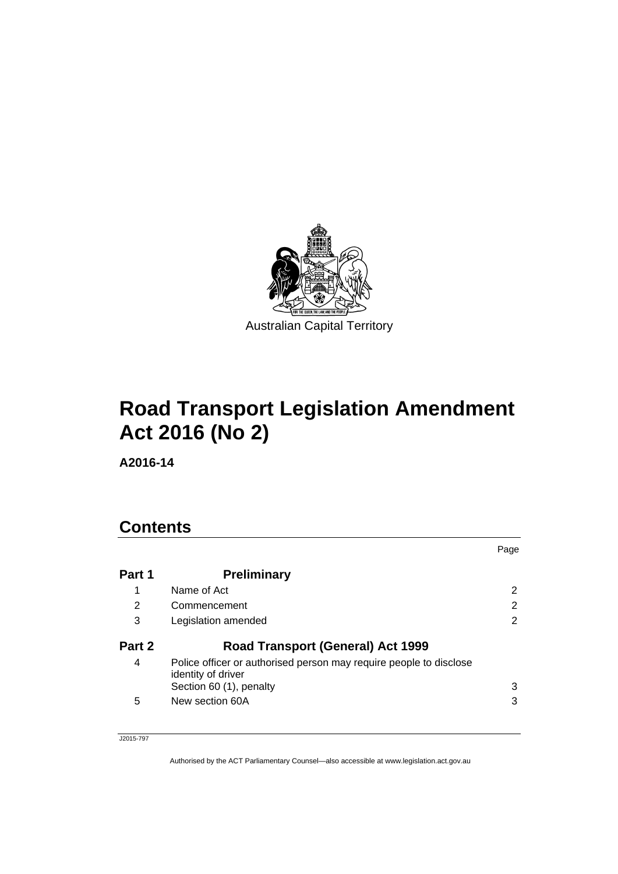

# **Road Transport Legislation Amendment Act 2016 (No 2)**

**A2016-14** 

# **Contents**

|        |                                                                                                                     | Page                 |
|--------|---------------------------------------------------------------------------------------------------------------------|----------------------|
| Part 1 | <b>Preliminary</b>                                                                                                  |                      |
| 1      | Name of Act                                                                                                         | $\mathbf{2}^{\circ}$ |
| 2      | Commencement                                                                                                        | 2                    |
| 3      | Legislation amended                                                                                                 | 2                    |
| Part 2 | <b>Road Transport (General) Act 1999</b>                                                                            |                      |
| 4      | Police officer or authorised person may require people to disclose<br>identity of driver<br>Section 60 (1), penalty | 3                    |
| 5      | New section 60A                                                                                                     | 3                    |

J2015-797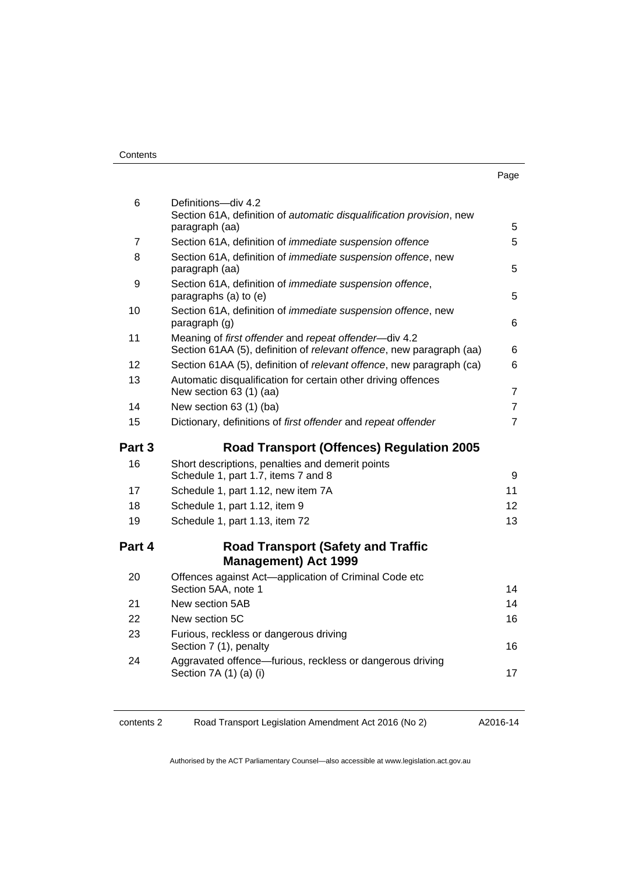| . .<br>× | ı<br>۰.<br>× |
|----------|--------------|

| 6      | Definitions-div 4.2<br>Section 61A, definition of automatic disqualification provision, new                                   |                |
|--------|-------------------------------------------------------------------------------------------------------------------------------|----------------|
|        | paragraph (aa)                                                                                                                | 5              |
| 7      | Section 61A, definition of <i>immediate</i> suspension offence                                                                | 5              |
| 8      | Section 61A, definition of <i>immediate suspension offence</i> , new<br>paragraph (aa)                                        | 5              |
| 9      | Section 61A, definition of <i>immediate</i> suspension offence,<br>paragraphs (a) to (e)                                      | 5              |
| 10     | Section 61A, definition of immediate suspension offence, new<br>paragraph (g)                                                 | 6              |
| 11     | Meaning of first offender and repeat offender-div 4.2<br>Section 61AA (5), definition of relevant offence, new paragraph (aa) | 6              |
| 12     | Section 61AA (5), definition of relevant offence, new paragraph (ca)                                                          | 6              |
| 13     | Automatic disqualification for certain other driving offences<br>New section 63 (1) (aa)                                      | $\overline{7}$ |
| 14     | New section 63 (1) (ba)                                                                                                       | $\overline{7}$ |
| 15     | Dictionary, definitions of first offender and repeat offender                                                                 | $\overline{7}$ |
| Part 3 | <b>Road Transport (Offences) Regulation 2005</b>                                                                              |                |
| 16     | Short descriptions, penalties and demerit points<br>Schedule 1, part 1.7, items 7 and 8                                       | 9              |
| 17     | Schedule 1, part 1.12, new item 7A                                                                                            | 11             |
| 18     | Schedule 1, part 1.12, item 9                                                                                                 | 12             |
| 19     | Schedule 1, part 1.13, item 72                                                                                                | 13             |
| Part 4 | <b>Road Transport (Safety and Traffic</b>                                                                                     |                |
|        | <b>Management) Act 1999</b>                                                                                                   |                |
| 20     | Offences against Act-application of Criminal Code etc<br>Section 5AA, note 1                                                  | 14             |
| 21     | New section 5AB                                                                                                               | 14             |
| 22     | New section 5C                                                                                                                | 16             |
| 23     |                                                                                                                               |                |
|        | Furious, reckless or dangerous driving<br>Section 7 (1), penalty                                                              | 16             |
| 24     | Aggravated offence-furious, reckless or dangerous driving<br>Section 7A (1) (a) (i)                                           | 17             |

contents 2 Road Transport Legislation Amendment Act 2016 (No 2)

A2016-14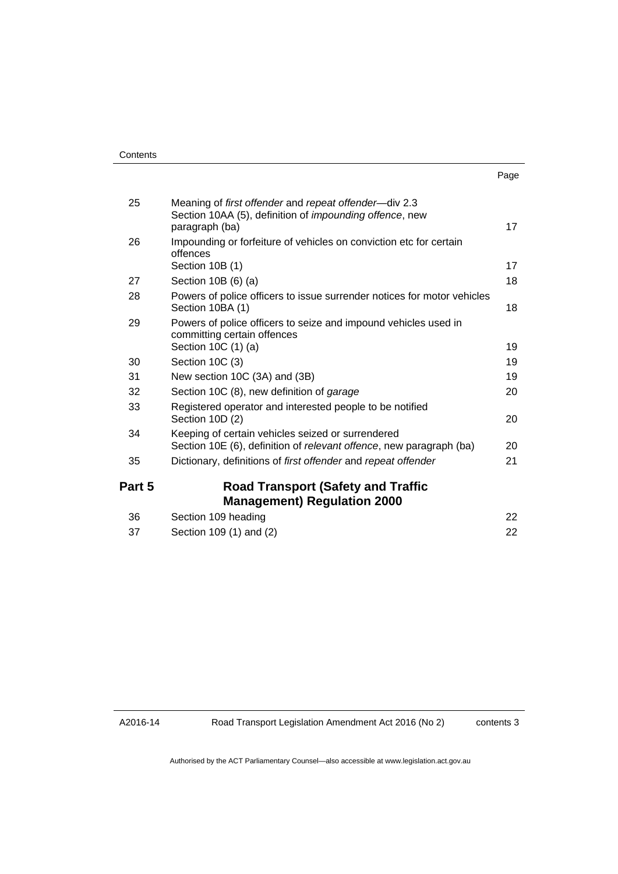| ×<br>× | ۰. |
|--------|----|

| 25     | Meaning of first offender and repeat offender—div 2.3<br>Section 10AA (5), definition of <i>impounding offence</i> , new<br>paragraph (ba) | 17 |
|--------|--------------------------------------------------------------------------------------------------------------------------------------------|----|
| 26     | Impounding or forfeiture of vehicles on conviction etc for certain<br>offences<br>Section 10B (1)                                          | 17 |
| 27     | Section 10B (6) (a)                                                                                                                        | 18 |
| 28     | Powers of police officers to issue surrender notices for motor vehicles<br>Section 10BA (1)                                                | 18 |
| 29     | Powers of police officers to seize and impound vehicles used in<br>committing certain offences<br>Section 10C (1) (a)                      | 19 |
| 30     | Section 10C (3)                                                                                                                            | 19 |
| 31     | New section 10C (3A) and (3B)                                                                                                              | 19 |
| 32     | Section 10C (8), new definition of garage                                                                                                  | 20 |
| 33     | Registered operator and interested people to be notified<br>Section 10D (2)                                                                | 20 |
| 34     | Keeping of certain vehicles seized or surrendered<br>Section 10E (6), definition of relevant offence, new paragraph (ba)                   | 20 |
| 35     | Dictionary, definitions of first offender and repeat offender                                                                              | 21 |
| Part 5 | <b>Road Transport (Safety and Traffic</b><br><b>Management) Regulation 2000</b>                                                            |    |
| 36     | Section 109 heading                                                                                                                        | 22 |
| 37     | Section 109 (1) and (2)                                                                                                                    | 22 |

A2016-14

contents 3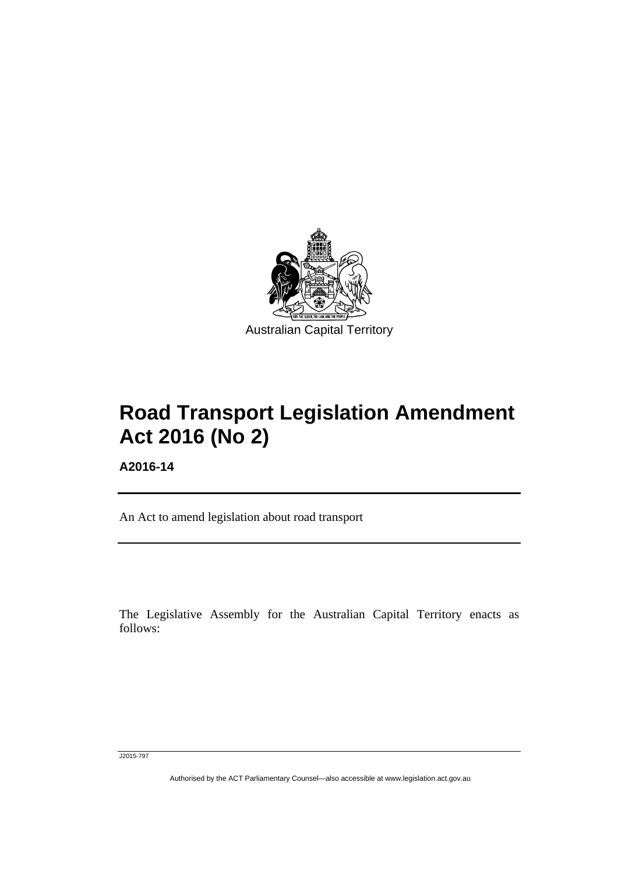

# **Road Transport Legislation Amendment Act 2016 (No 2)**

**A2016-14** 

Ī

An Act to amend legislation about road transport

The Legislative Assembly for the Australian Capital Territory enacts as follows:

J2015-797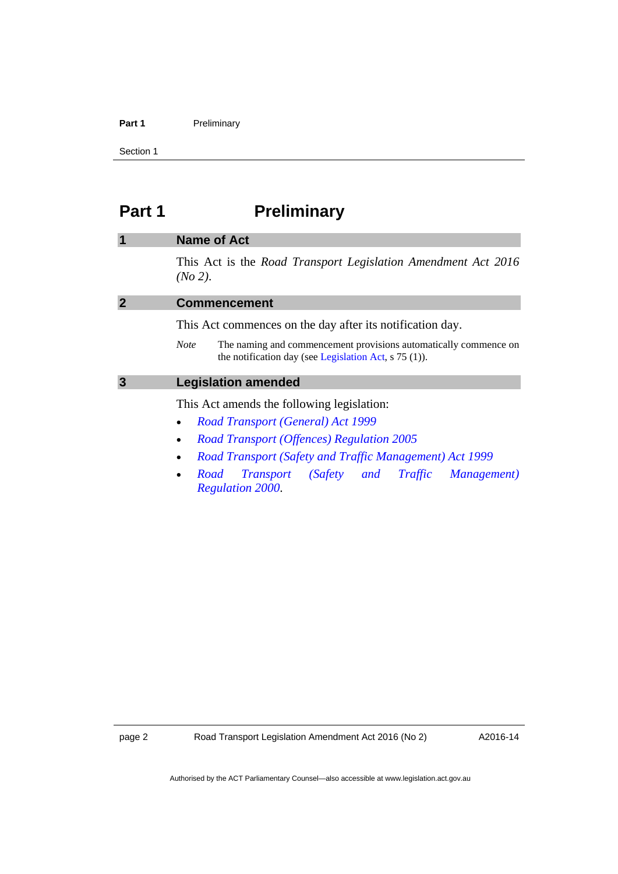### Part 1 **Preliminary**

Section 1

# <span id="page-5-0"></span>**Part 1** Preliminary

## <span id="page-5-1"></span>**1 Name of Act**  This Act is the *Road Transport Legislation Amendment Act 2016 (No 2)*.

<span id="page-5-3"></span><span id="page-5-2"></span>

| <b>Commencement</b>                                                                                                                        |
|--------------------------------------------------------------------------------------------------------------------------------------------|
| This Act commences on the day after its notification day.                                                                                  |
| The naming and commencement provisions automatically commence on<br><b>Note</b><br>the notification day (see Legislation Act, $s$ 75 (1)). |
| <b>Legislation amended</b>                                                                                                                 |
| This Act amends the following legislation:                                                                                                 |
| <b>Road Transport (General) Act 1999</b><br>$\bullet$                                                                                      |

- *[Road Transport \(Offences\) Regulation 2005](http://www.legislation.act.gov.au/sl/2005-11)*
- *[Road Transport \(Safety and Traffic Management\) Act 1999](http://www.legislation.act.gov.au/a/1999-80)*
- *[Road Transport \(Safety and Traffic Management\)](http://www.legislation.act.gov.au/sl/2000-10)  [Regulation 2000](http://www.legislation.act.gov.au/sl/2000-10)*.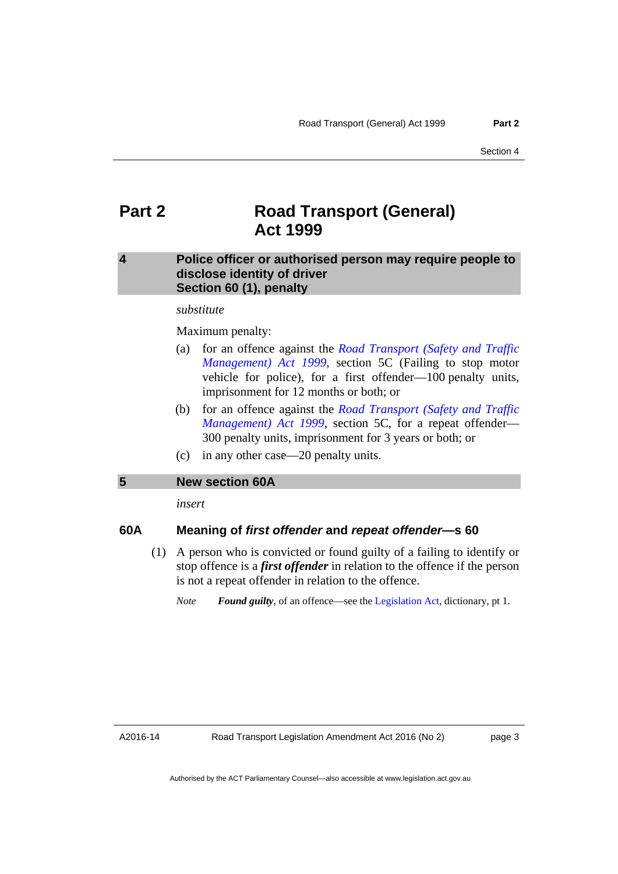# <span id="page-6-0"></span>**Part 2 Road Transport (General) Act 1999**

### <span id="page-6-1"></span>**4 Police officer or authorised person may require people to disclose identity of driver Section 60 (1), penalty**

### *substitute*

### Maximum penalty:

- (a) for an offence against the *[Road Transport \(Safety and Traffic](http://www.legislation.act.gov.au/a/1999-80)  [Management\) Act 1999](http://www.legislation.act.gov.au/a/1999-80)*, section 5C (Failing to stop motor vehicle for police), for a first offender—100 penalty units, imprisonment for 12 months or both; or
- (b) for an offence against the *[Road Transport \(Safety and Traffic](http://www.legislation.act.gov.au/a/1999-80)  [Management\) Act 1999](http://www.legislation.act.gov.au/a/1999-80)*, section 5C, for a repeat offender— 300 penalty units, imprisonment for 3 years or both; or
- (c) in any other case—20 penalty units.

### <span id="page-6-2"></span>**5 New section 60A**

*insert* 

### **60A Meaning of** *first offender* **and** *repeat offender***—s 60**

- (1) A person who is convicted or found guilty of a failing to identify or stop offence is a *first offender* in relation to the offence if the person is not a repeat offender in relation to the offence.
	- *Note Found guilty*, of an offence—see the [Legislation Act](http://www.legislation.act.gov.au/a/2001-14), dictionary, pt 1.

A2016-14

page 3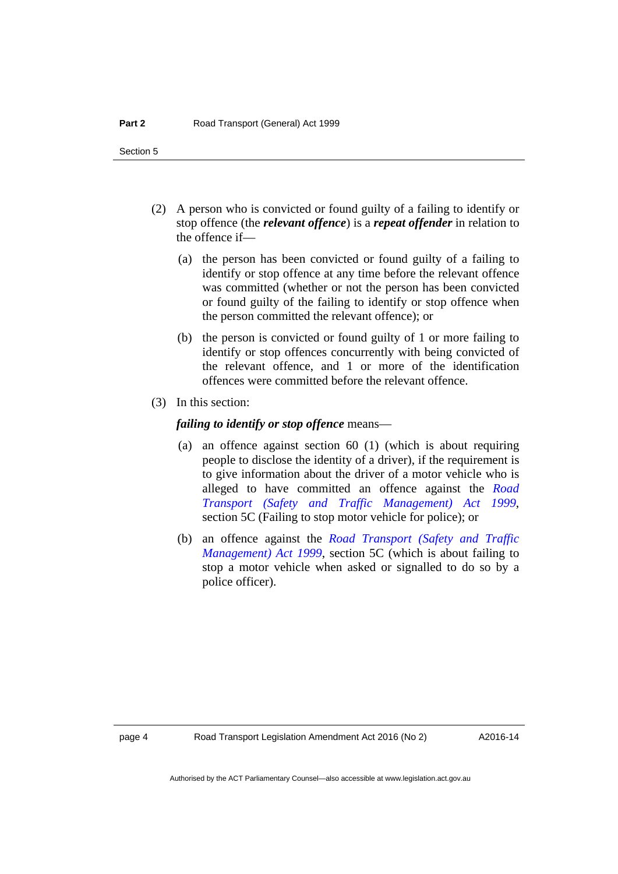- (2) A person who is convicted or found guilty of a failing to identify or stop offence (the *relevant offence*) is a *repeat offender* in relation to the offence if—
	- (a) the person has been convicted or found guilty of a failing to identify or stop offence at any time before the relevant offence was committed (whether or not the person has been convicted or found guilty of the failing to identify or stop offence when the person committed the relevant offence); or
	- (b) the person is convicted or found guilty of 1 or more failing to identify or stop offences concurrently with being convicted of the relevant offence, and 1 or more of the identification offences were committed before the relevant offence.
- (3) In this section:

### *failing to identify or stop offence* means—

- (a) an offence against section 60 (1) (which is about requiring people to disclose the identity of a driver), if the requirement is to give information about the driver of a motor vehicle who is alleged to have committed an offence against the *[Road](http://www.legislation.act.gov.au/a/1999-80)  [Transport \(Safety and Traffic Management\) Act 1999](http://www.legislation.act.gov.au/a/1999-80)*, section 5C (Failing to stop motor vehicle for police); or
- (b) an offence against the *[Road Transport \(Safety and Traffic](http://www.legislation.act.gov.au/a/1999-80)  [Management\) Act 1999](http://www.legislation.act.gov.au/a/1999-80)*, section 5C (which is about failing to stop a motor vehicle when asked or signalled to do so by a police officer).

A2016-14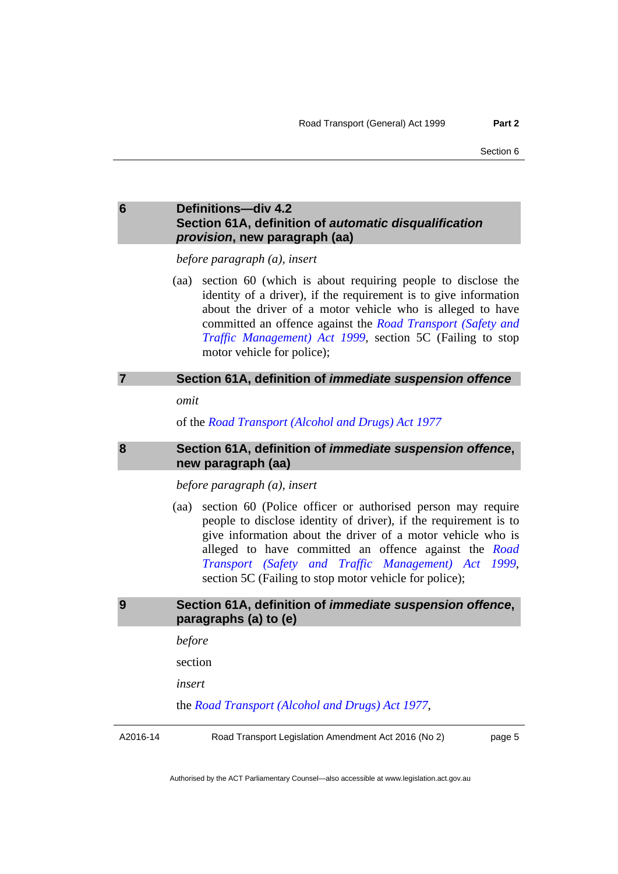### <span id="page-8-0"></span>**6 Definitions—div 4.2 Section 61A, definition of** *automatic disqualification provision***, new paragraph (aa)**

*before paragraph (a), insert* 

 (aa) section 60 (which is about requiring people to disclose the identity of a driver), if the requirement is to give information about the driver of a motor vehicle who is alleged to have committed an offence against the *[Road Transport \(Safety and](http://www.legislation.act.gov.au/a/1999-80)  [Traffic Management\) Act 1999](http://www.legislation.act.gov.au/a/1999-80)*, section 5C (Failing to stop motor vehicle for police);

### <span id="page-8-1"></span>**7 Section 61A, definition of** *immediate suspension offence*

*omit* 

of the *[Road Transport \(Alcohol and Drugs\) Act 1977](http://www.legislation.act.gov.au/a/1977-17)*

<span id="page-8-2"></span>

### **8 Section 61A, definition of** *immediate suspension offence***, new paragraph (aa)**

*before paragraph (a), insert* 

 (aa) section 60 (Police officer or authorised person may require people to disclose identity of driver), if the requirement is to give information about the driver of a motor vehicle who is alleged to have committed an offence against the *[Road](http://www.legislation.act.gov.au/a/1999-80)  [Transport \(Safety and Traffic Management\) Act 1999](http://www.legislation.act.gov.au/a/1999-80)*, section 5C (Failing to stop motor vehicle for police);

### <span id="page-8-3"></span>**9 Section 61A, definition of** *immediate suspension offence***, paragraphs (a) to (e)**

*before* 

section

*insert* 

the *[Road Transport \(Alcohol and Drugs\) Act 1977](http://www.legislation.act.gov.au/a/1977-17)*,

A2016-14

Road Transport Legislation Amendment Act 2016 (No 2)

page 5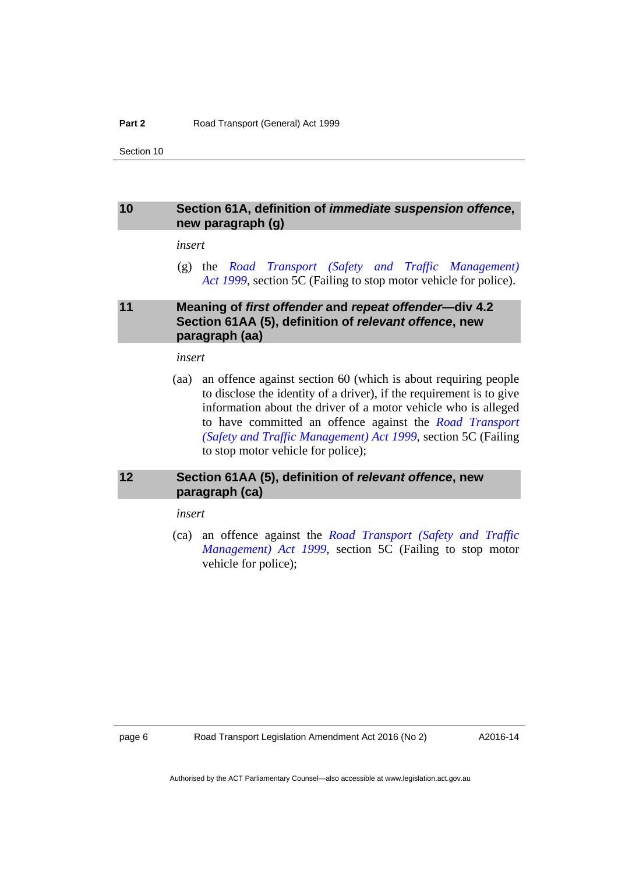### <span id="page-9-0"></span>**10 Section 61A, definition of** *immediate suspension offence***, new paragraph (g)**

### *insert*

 (g) the *[Road Transport \(Safety and Traffic Management\)](http://www.legislation.act.gov.au/a/1999-80)  [Act 1999](http://www.legislation.act.gov.au/a/1999-80)*, section 5C (Failing to stop motor vehicle for police).

### <span id="page-9-1"></span>**11 Meaning of** *first offender* **and** *repeat offender***—div 4.2 Section 61AA (5), definition of** *relevant offence***, new paragraph (aa)**

### *insert*

 (aa) an offence against section 60 (which is about requiring people to disclose the identity of a driver), if the requirement is to give information about the driver of a motor vehicle who is alleged to have committed an offence against the *[Road Transport](http://www.legislation.act.gov.au/a/1999-80)  [\(Safety and Traffic Management\) Act 1999](http://www.legislation.act.gov.au/a/1999-80)*, section 5C (Failing to stop motor vehicle for police);

### <span id="page-9-2"></span>**12 Section 61AA (5), definition of** *relevant offence***, new paragraph (ca)**

### *insert*

 (ca) an offence against the *[Road Transport \(Safety and Traffic](http://www.legislation.act.gov.au/a/1999-80)  [Management\) Act 1999](http://www.legislation.act.gov.au/a/1999-80)*, section 5C (Failing to stop motor vehicle for police);

A2016-14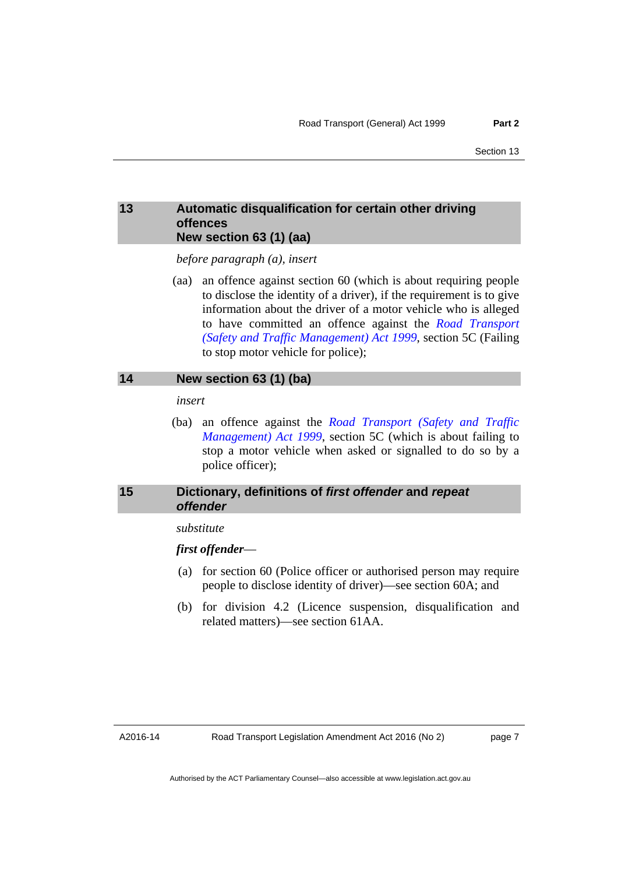### <span id="page-10-0"></span>**13 Automatic disqualification for certain other driving offences New section 63 (1) (aa)**

*before paragraph (a), insert* 

 (aa) an offence against section 60 (which is about requiring people to disclose the identity of a driver), if the requirement is to give information about the driver of a motor vehicle who is alleged to have committed an offence against the *[Road Transport](http://www.legislation.act.gov.au/a/1999-80)  [\(Safety and Traffic Management\) Act 1999](http://www.legislation.act.gov.au/a/1999-80)*, section 5C (Failing to stop motor vehicle for police);

### <span id="page-10-1"></span>**14 New section 63 (1) (ba)**

*insert* 

 (ba) an offence against the *[Road Transport \(Safety and Traffic](http://www.legislation.act.gov.au/a/1999-80)  [Management\) Act 1999](http://www.legislation.act.gov.au/a/1999-80)*, section 5C (which is about failing to stop a motor vehicle when asked or signalled to do so by a police officer);

### <span id="page-10-2"></span>**15 Dictionary, definitions of** *first offender* **and** *repeat offender*

### *substitute*

### *first offender*—

- (a) for section 60 (Police officer or authorised person may require people to disclose identity of driver)—see section 60A; and
- (b) for division 4.2 (Licence suspension, disqualification and related matters)—see section 61AA.

page 7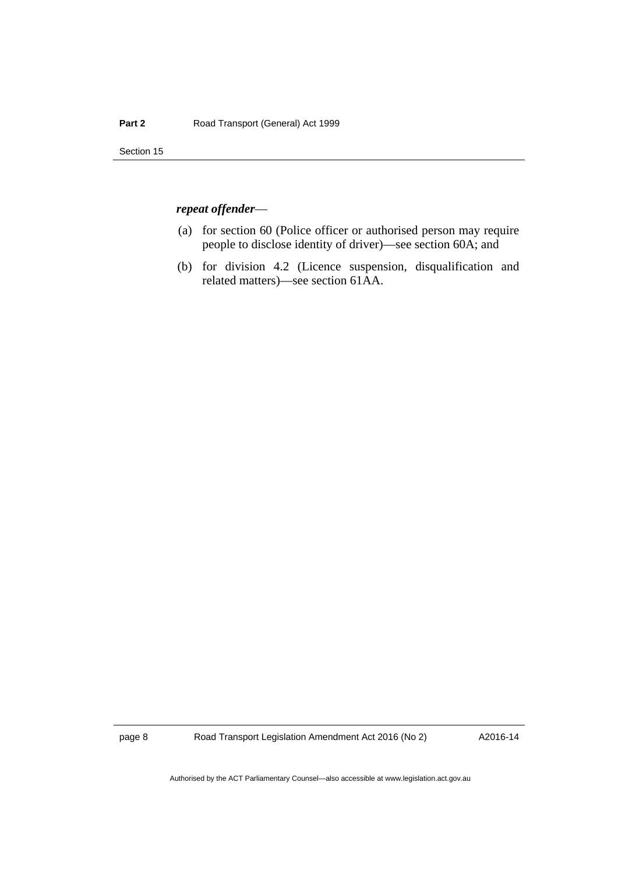### *repeat offender*—

- (a) for section 60 (Police officer or authorised person may require people to disclose identity of driver)—see section 60A; and
- (b) for division 4.2 (Licence suspension, disqualification and related matters)—see section 61AA.

page 8 Road Transport Legislation Amendment Act 2016 (No 2)

A2016-14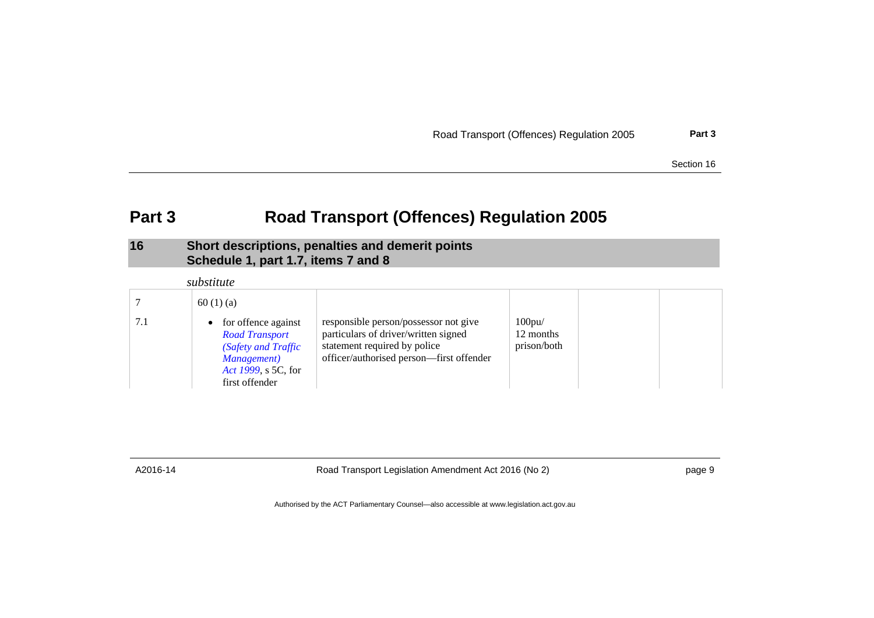|  |  | Road Transport (Offences) Regulation 2005 | Part 3 |
|--|--|-------------------------------------------|--------|
|--|--|-------------------------------------------|--------|

# **Part 3 Road Transport (Offences) Regulation 2005**

### **16 Short descriptions, penalties and demerit points Schedule 1, part 1.7, items 7 and 8**

|     | substitute                                                                                                                    |                                                                                                                                                           |                                          |  |
|-----|-------------------------------------------------------------------------------------------------------------------------------|-----------------------------------------------------------------------------------------------------------------------------------------------------------|------------------------------------------|--|
|     | 60(1)(a)                                                                                                                      |                                                                                                                                                           |                                          |  |
| 7.1 | • for offence against<br><b>Road Transport</b><br>(Safety and Traffic<br>Management)<br>Act 1999, s 5C, for<br>first offender | responsible person/possessor not give<br>particulars of driver/written signed<br>statement required by police<br>officer/authorised person-first offender | $100$ pu $/$<br>12 months<br>prison/both |  |

<span id="page-12-1"></span><span id="page-12-0"></span>

A2016-14 Road Transport Legislation Amendment Act 2016 (No 2) page 9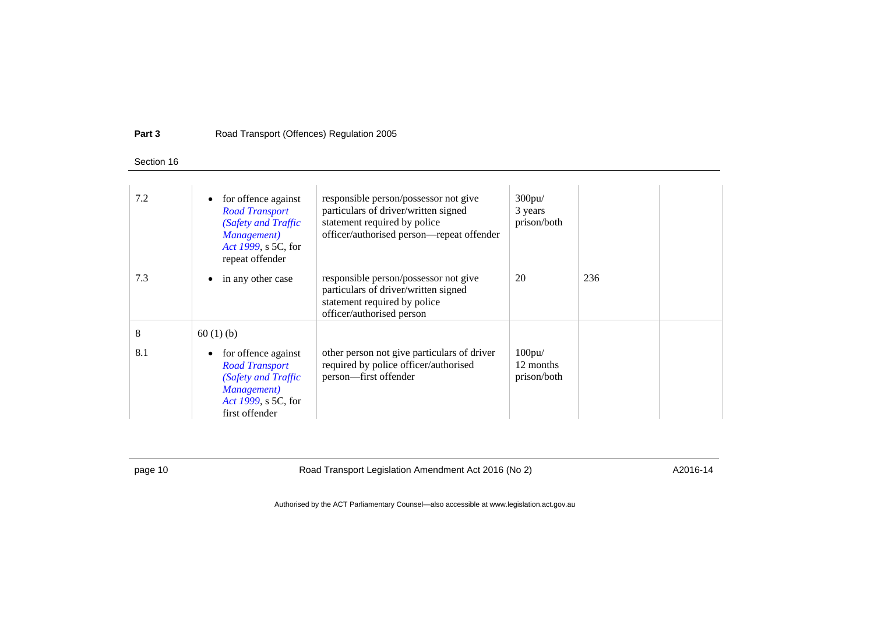#### **Part 3**Road Transport (Offences) Regulation 2005

### Section 16

| 7.2      | for offence against<br><b>Road Transport</b><br>(Safety and Traffic<br>Management)<br>Act 1999, s 5C, for<br>repeat offender            | responsible person/possessor not give<br>particulars of driver/written signed<br>statement required by police<br>officer/authorised person—repeat offender | $300$ pu $/$<br>3 years<br>prison/both   |     |  |
|----------|-----------------------------------------------------------------------------------------------------------------------------------------|------------------------------------------------------------------------------------------------------------------------------------------------------------|------------------------------------------|-----|--|
| 7.3      | in any other case                                                                                                                       | responsible person/possessor not give<br>particulars of driver/written signed<br>statement required by police<br>officer/authorised person                 | 20                                       | 236 |  |
| 8<br>8.1 | 60(1)(b)<br>for offence against<br><b>Road Transport</b><br>(Safety and Traffic<br>Management)<br>Act 1999, s 5C, for<br>first offender | other person not give particulars of driver<br>required by police officer/authorised<br>person-first offender                                              | $100$ pu $/$<br>12 months<br>prison/both |     |  |

page 10 **Road Transport Legislation Amendment Act 2016 (No 2)** A2016-14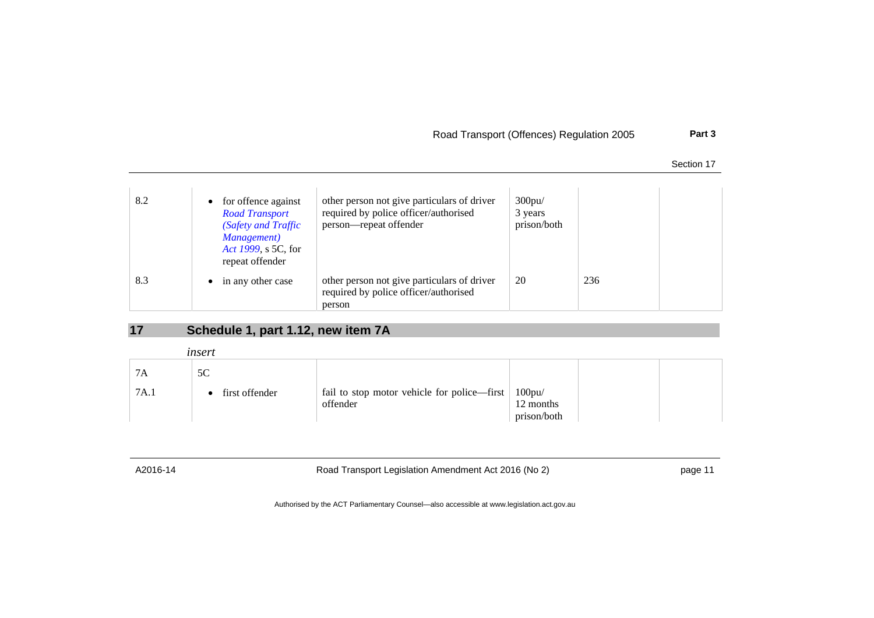### Road Transport (Offences) Regulation 2005 **Part 3**

| Section 17 |  |
|------------|--|
|            |  |

| 8.2 | • for offence against<br><b>Road Transport</b><br>(Safety and Traffic<br>Management)<br>Act 1999, s 5C, for<br>repeat offender | other person not give particulars of driver<br>required by police officer/authorised<br>person—repeat offender | $300$ pu $/$<br>3 years<br>prison/both |     |  |
|-----|--------------------------------------------------------------------------------------------------------------------------------|----------------------------------------------------------------------------------------------------------------|----------------------------------------|-----|--|
| 8.3 | in any other case<br>$\bullet$                                                                                                 | other person not give particulars of driver<br>required by police officer/authorised<br>person                 | 20                                     | 236 |  |

# **17 Schedule 1, part 1.12, new item 7A**

|      | insert         |                                                      |             |  |
|------|----------------|------------------------------------------------------|-------------|--|
| 7Α   | 5C             |                                                      |             |  |
| 7A.1 | first offender | fail to stop motor vehicle for police—first   100pu/ |             |  |
|      |                | offender                                             | 12 months   |  |
|      |                |                                                      | prison/both |  |

<span id="page-14-0"></span>

A2016-14 Road Transport Legislation Amendment Act 2016 (No 2) page 11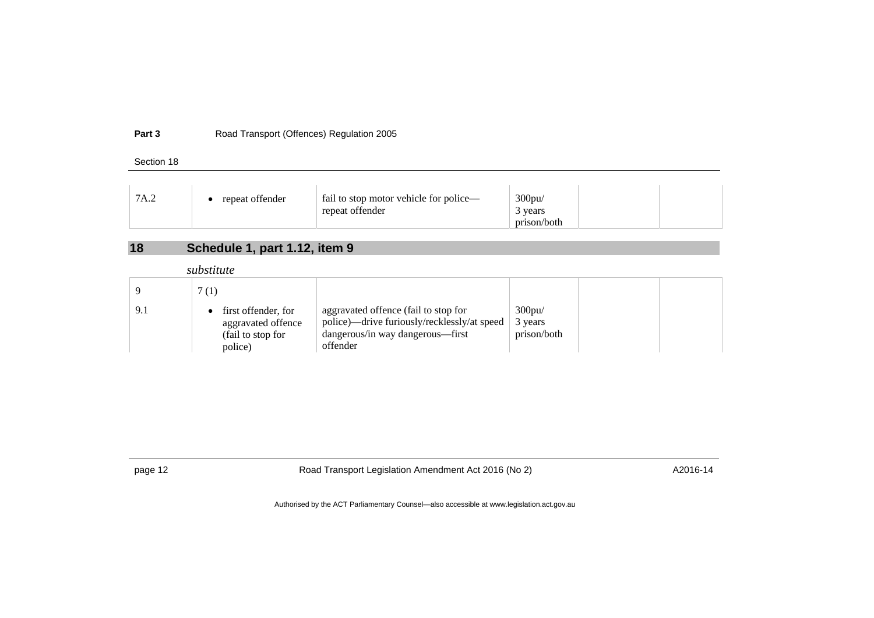#### **Part 3**Road Transport (Offences) Regulation 2005

Section 18

| 7A.2 | repeat offender | fail to stop motor vehicle for police— | $300$ pu/   |
|------|-----------------|----------------------------------------|-------------|
|      |                 | repeat offender                        | vears       |
|      |                 |                                        | prison/both |

# **18 Schedule 1, part 1.12, item 9**

*substitute* 

|     | 7(1)                                                                      |                                                                                                                                     |                                        |  |
|-----|---------------------------------------------------------------------------|-------------------------------------------------------------------------------------------------------------------------------------|----------------------------------------|--|
| 9.1 | first offender, for<br>aggravated offence<br>(fail to stop for<br>police) | aggravated offence (fail to stop for<br>police)—drive furiously/recklessly/at speed<br>dangerous/in way dangerous—first<br>offender | $300$ pu $/$<br>3 years<br>prison/both |  |

<span id="page-15-0"></span>

page 12 **Road Transport Legislation Amendment Act 2016 (No 2)** A2016-14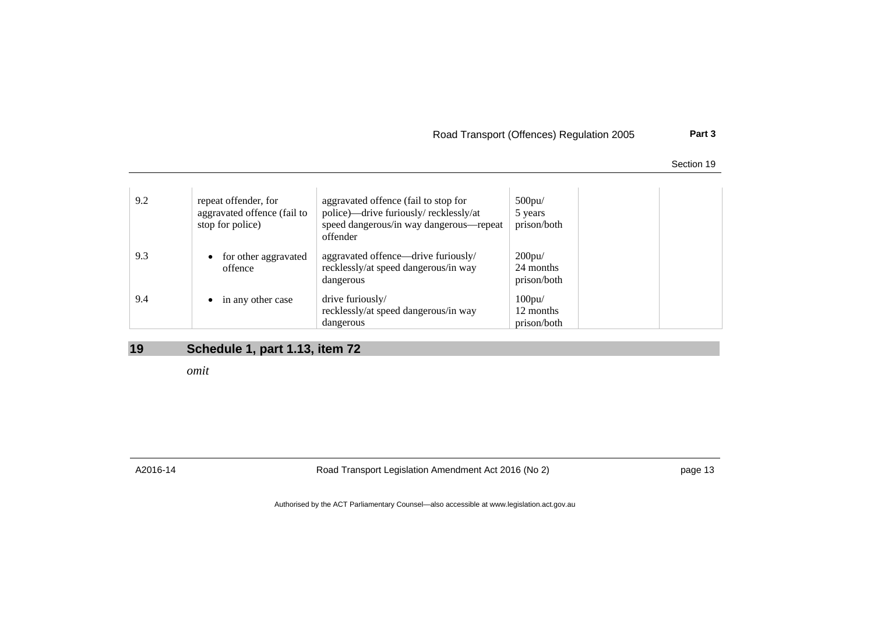Road Transport (Offences) Regulation 2005 **Part 3**

Section 19

| 9.2 | repeat offender, for<br>aggravated offence (fail to<br>stop for police) | aggravated offence (fail to stop for<br>police)—drive furiously/recklessly/at<br>speed dangerous/in way dangerous—repeat<br>offender | $500$ pu $/$<br>5 years<br>prison/both   |
|-----|-------------------------------------------------------------------------|--------------------------------------------------------------------------------------------------------------------------------------|------------------------------------------|
| 9.3 | for other aggravated<br>$\bullet$<br>offence                            | aggravated offence—drive furiously/<br>recklessly/at speed dangerous/in way<br>dangerous                                             | 200pu/<br>24 months<br>prison/both       |
| 9.4 | $\bullet$ in any other case                                             | drive furiously/<br>recklessly/at speed dangerous/in way<br>dangerous                                                                | $100$ pu $/$<br>12 months<br>prison/both |

## **19 Schedule 1, part 1.13, item 72**

*omit* 

<span id="page-16-0"></span>

A2016-14 Road Transport Legislation Amendment Act 2016 (No 2) page 13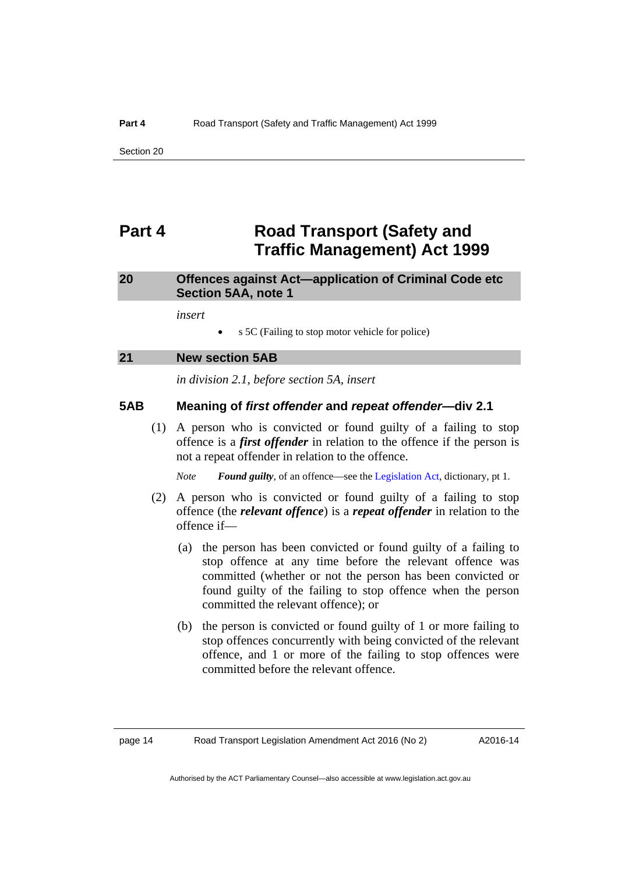# <span id="page-17-0"></span>**Part 4 Road Transport (Safety and Traffic Management) Act 1999**

### <span id="page-17-1"></span>**20 Offences against Act—application of Criminal Code etc Section 5AA, note 1**

*insert* 

s 5C (Failing to stop motor vehicle for police)

<span id="page-17-2"></span>

| 2 <sup>1</sup> | <b>New section 5AB</b> |
|----------------|------------------------|
|                |                        |

*in division 2.1, before section 5A, insert* 

### **5AB Meaning of** *first offender* **and** *repeat offender***—div 2.1**

 (1) A person who is convicted or found guilty of a failing to stop offence is a *first offender* in relation to the offence if the person is not a repeat offender in relation to the offence.

*Note Found guilty*, of an offence—see the [Legislation Act](http://www.legislation.act.gov.au/a/2001-14), dictionary, pt 1.

- (2) A person who is convicted or found guilty of a failing to stop offence (the *relevant offence*) is a *repeat offender* in relation to the offence if—
	- (a) the person has been convicted or found guilty of a failing to stop offence at any time before the relevant offence was committed (whether or not the person has been convicted or found guilty of the failing to stop offence when the person committed the relevant offence); or
	- (b) the person is convicted or found guilty of 1 or more failing to stop offences concurrently with being convicted of the relevant offence, and 1 or more of the failing to stop offences were committed before the relevant offence.

A2016-14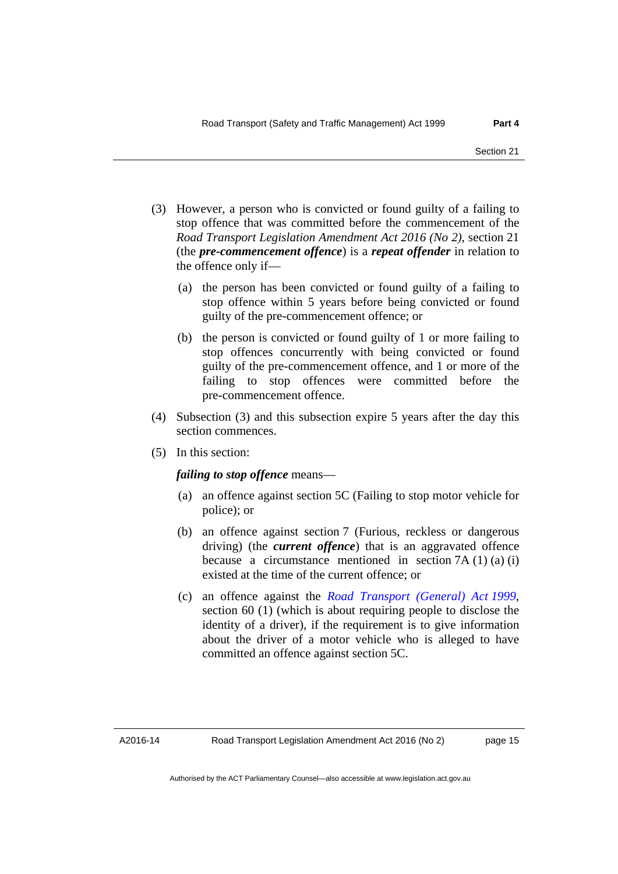- (3) However, a person who is convicted or found guilty of a failing to stop offence that was committed before the commencement of the *Road Transport Legislation Amendment Act 2016 (No 2)*, section 21 (the *pre-commencement offence*) is a *repeat offender* in relation to the offence only if—
	- (a) the person has been convicted or found guilty of a failing to stop offence within 5 years before being convicted or found guilty of the pre-commencement offence; or
	- (b) the person is convicted or found guilty of 1 or more failing to stop offences concurrently with being convicted or found guilty of the pre-commencement offence, and 1 or more of the failing to stop offences were committed before the pre-commencement offence.
- (4) Subsection (3) and this subsection expire 5 years after the day this section commences.
- (5) In this section:

### *failing to stop offence* means—

- (a) an offence against section 5C (Failing to stop motor vehicle for police); or
- (b) an offence against section 7 (Furious, reckless or dangerous driving) (the *current offence*) that is an aggravated offence because a circumstance mentioned in section  $7A(1)(a)(i)$ existed at the time of the current offence; or
- (c) an offence against the *[Road Transport \(General\) Act 1999](http://www.legislation.act.gov.au/a/1999-77)*, section 60 (1) (which is about requiring people to disclose the identity of a driver), if the requirement is to give information about the driver of a motor vehicle who is alleged to have committed an offence against section 5C.

page 15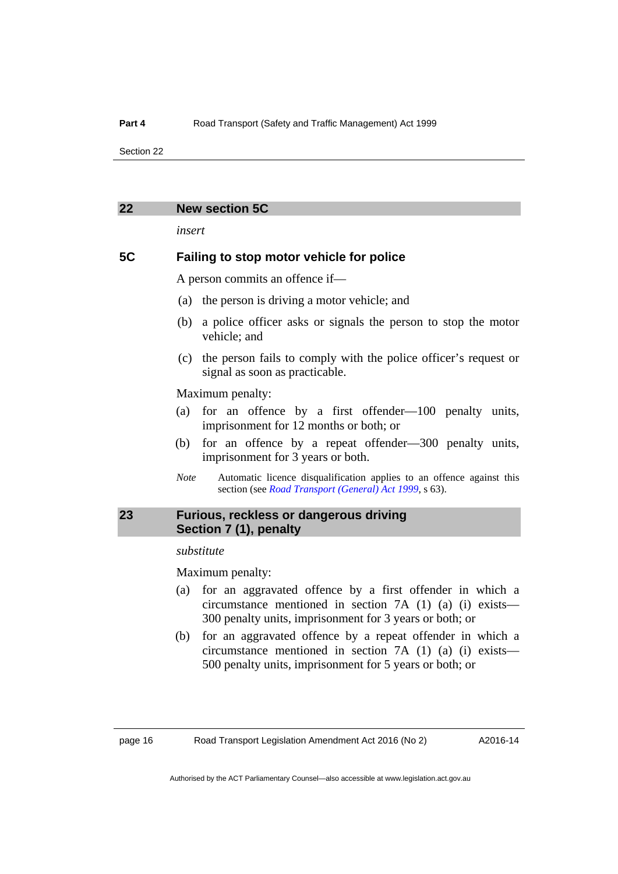### <span id="page-19-0"></span>**22 New section 5C**

*insert* 

### **5C Failing to stop motor vehicle for police**

A person commits an offence if—

- (a) the person is driving a motor vehicle; and
- (b) a police officer asks or signals the person to stop the motor vehicle; and
- (c) the person fails to comply with the police officer's request or signal as soon as practicable.

Maximum penalty:

- (a) for an offence by a first offender—100 penalty units, imprisonment for 12 months or both; or
- (b) for an offence by a repeat offender—300 penalty units, imprisonment for 3 years or both.
- *Note* Automatic licence disqualification applies to an offence against this section (see *[Road Transport \(General\) Act 1999](http://www.legislation.act.gov.au/a/1999-77)*, s 63).

### <span id="page-19-1"></span>**23 Furious, reckless or dangerous driving Section 7 (1), penalty**

### *substitute*

Maximum penalty:

- (a) for an aggravated offence by a first offender in which a circumstance mentioned in section 7A (1) (a) (i) exists— 300 penalty units, imprisonment for 3 years or both; or
- (b) for an aggravated offence by a repeat offender in which a circumstance mentioned in section 7A (1) (a) (i) exists— 500 penalty units, imprisonment for 5 years or both; or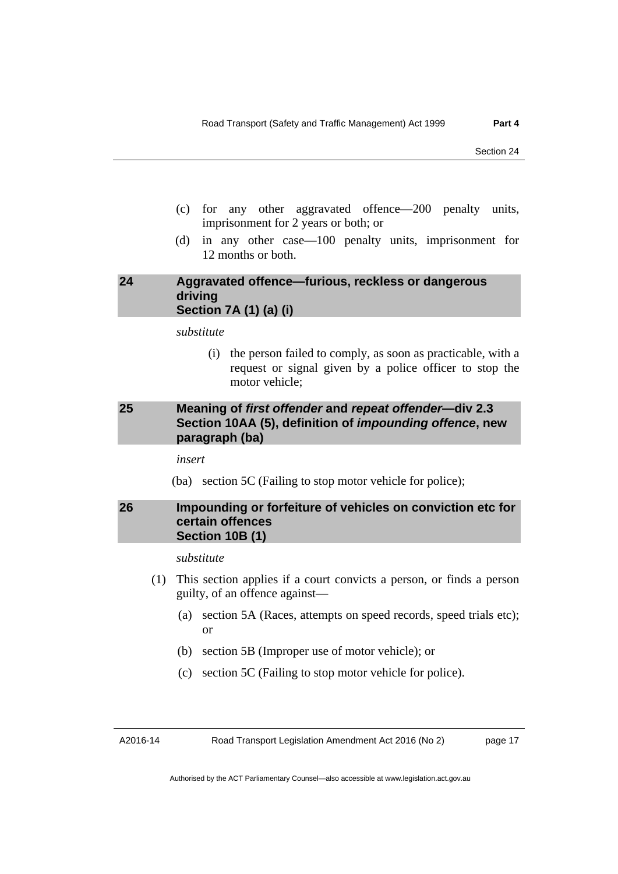- (c) for any other aggravated offence—200 penalty units, imprisonment for 2 years or both; or
- (d) in any other case—100 penalty units, imprisonment for 12 months or both.

### <span id="page-20-0"></span>**24 Aggravated offence—furious, reckless or dangerous driving Section 7A (1) (a) (i)**

*substitute* 

 (i) the person failed to comply, as soon as practicable, with a request or signal given by a police officer to stop the motor vehicle;

### <span id="page-20-1"></span>**25 Meaning of** *first offender* **and** *repeat offender***—div 2.3 Section 10AA (5), definition of** *impounding offence***, new paragraph (ba)**

*insert* 

(ba) section 5C (Failing to stop motor vehicle for police);

### <span id="page-20-2"></span>**26 Impounding or forfeiture of vehicles on conviction etc for certain offences Section 10B (1)**

*substitute* 

- (1) This section applies if a court convicts a person, or finds a person guilty, of an offence against—
	- (a) section 5A (Races, attempts on speed records, speed trials etc); or
	- (b) section 5B (Improper use of motor vehicle); or
	- (c) section 5C (Failing to stop motor vehicle for police).

A2016-14

Road Transport Legislation Amendment Act 2016 (No 2)

page 17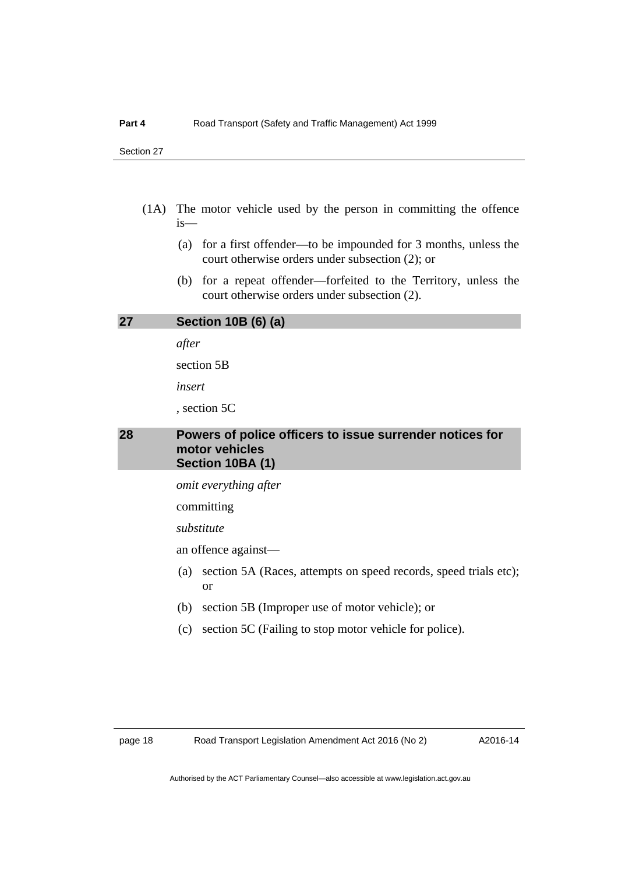- (1A) The motor vehicle used by the person in committing the offence is—
	- (a) for a first offender—to be impounded for 3 months, unless the court otherwise orders under subsection (2); or
	- (b) for a repeat offender—forfeited to the Territory, unless the court otherwise orders under subsection (2).

### <span id="page-21-0"></span>**27 Section 10B (6) (a)**

*after* 

section 5B

*insert* 

, section 5C

### <span id="page-21-1"></span>**28 Powers of police officers to issue surrender notices for motor vehicles Section 10BA (1)**

*omit everything after* 

committing

*substitute* 

an offence against—

- (a) section 5A (Races, attempts on speed records, speed trials etc); or
- (b) section 5B (Improper use of motor vehicle); or
- (c) section 5C (Failing to stop motor vehicle for police).

A2016-14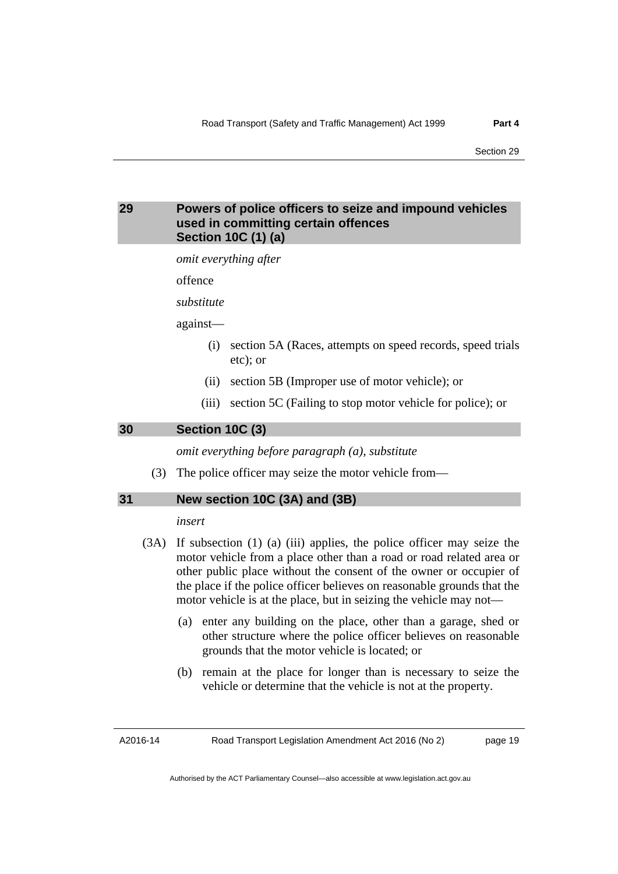### <span id="page-22-0"></span>**29 Powers of police officers to seize and impound vehicles used in committing certain offences Section 10C (1) (a)**

*omit everything after* 

offence

*substitute* 

against—

- (i) section 5A (Races, attempts on speed records, speed trials etc); or
- (ii) section 5B (Improper use of motor vehicle); or
- (iii) section 5C (Failing to stop motor vehicle for police); or

<span id="page-22-1"></span>**30 Section 10C (3)** 

*omit everything before paragraph (a), substitute* 

(3) The police officer may seize the motor vehicle from—

### <span id="page-22-2"></span>**31 New section 10C (3A) and (3B)**

### *insert*

- (3A) If subsection (1) (a) (iii) applies, the police officer may seize the motor vehicle from a place other than a road or road related area or other public place without the consent of the owner or occupier of the place if the police officer believes on reasonable grounds that the motor vehicle is at the place, but in seizing the vehicle may not—
	- (a) enter any building on the place, other than a garage, shed or other structure where the police officer believes on reasonable grounds that the motor vehicle is located; or
	- (b) remain at the place for longer than is necessary to seize the vehicle or determine that the vehicle is not at the property.

A2016-14

page 19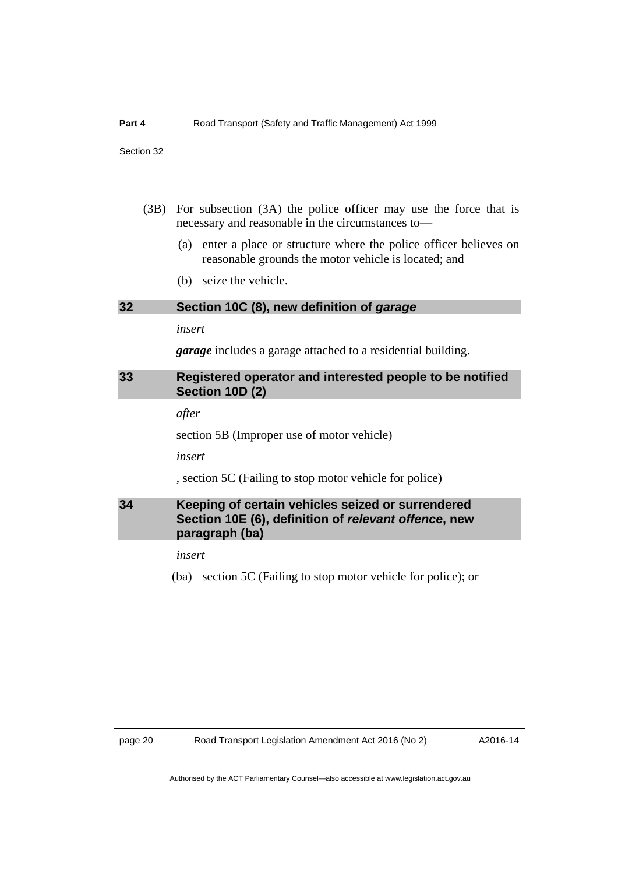- (3B) For subsection (3A) the police officer may use the force that is necessary and reasonable in the circumstances to—
	- (a) enter a place or structure where the police officer believes on reasonable grounds the motor vehicle is located; and
	- (b) seize the vehicle.

### <span id="page-23-0"></span>**32 Section 10C (8), new definition of** *garage*

### *insert*

*garage* includes a garage attached to a residential building.

### <span id="page-23-1"></span>**33 Registered operator and interested people to be notified Section 10D (2)**

*after* 

section 5B (Improper use of motor vehicle)

*insert* 

, section 5C (Failing to stop motor vehicle for police)

### <span id="page-23-2"></span>**34 Keeping of certain vehicles seized or surrendered Section 10E (6), definition of** *relevant offence***, new paragraph (ba)**

*insert* 

(ba) section 5C (Failing to stop motor vehicle for police); or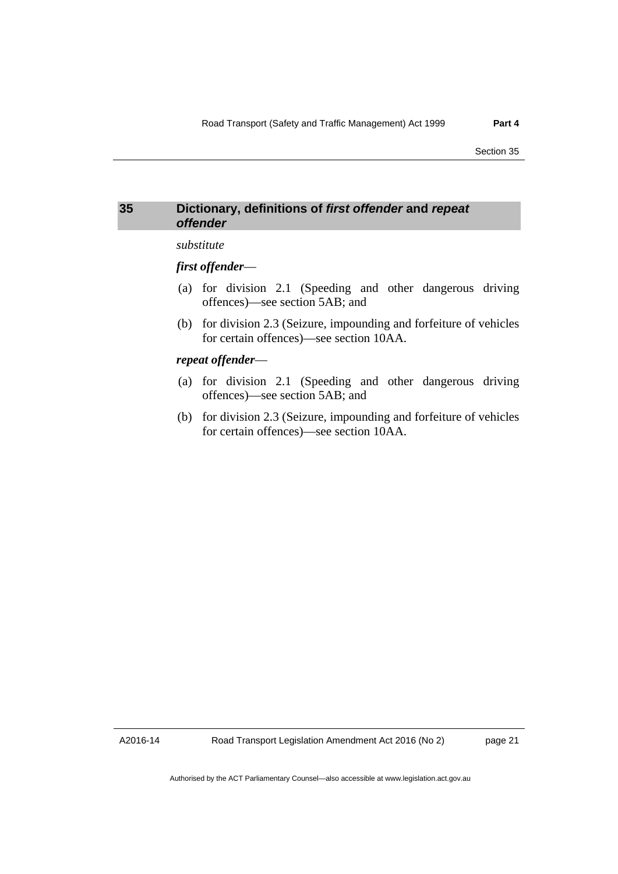### <span id="page-24-0"></span>**35 Dictionary, definitions of** *first offender* **and** *repeat offender*

### *substitute*

### *first offender*—

- (a) for division 2.1 (Speeding and other dangerous driving offences)—see section 5AB; and
- (b) for division 2.3 (Seizure, impounding and forfeiture of vehicles for certain offences)—see section 10AA.

### *repeat offender*—

- (a) for division 2.1 (Speeding and other dangerous driving offences)—see section 5AB; and
- (b) for division 2.3 (Seizure, impounding and forfeiture of vehicles for certain offences)—see section 10AA.

A2016-14

page 21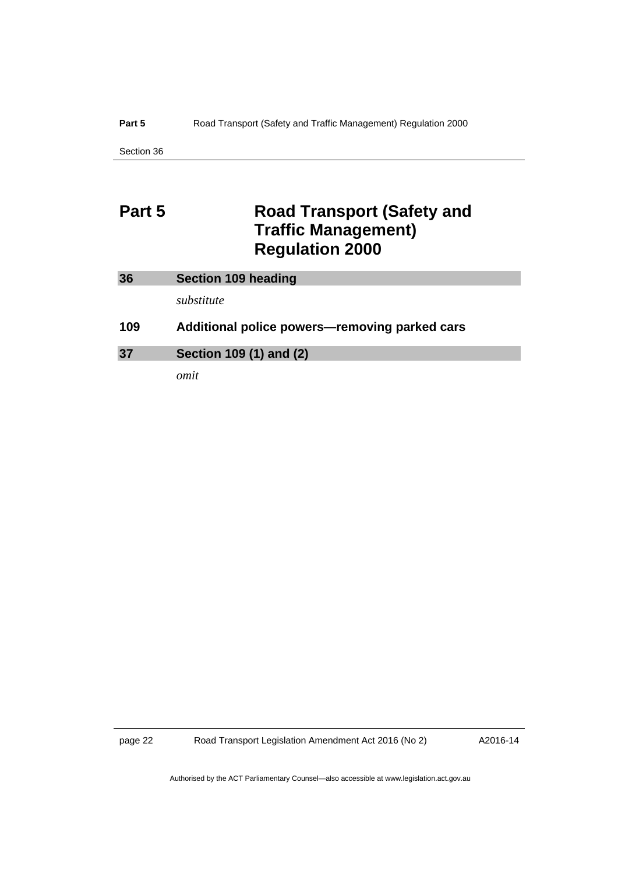### Part 5 **Road Transport (Safety and Traffic Management) Regulation 2000**

Section 36

# <span id="page-25-0"></span>**Part 5 Road Transport (Safety and Traffic Management) Regulation 2000**

<span id="page-25-2"></span><span id="page-25-1"></span>

| 36  | Section 109 heading                           |
|-----|-----------------------------------------------|
|     | substitute                                    |
| 109 | Additional police powers—removing parked cars |
| 37  | Section 109 (1) and (2)                       |

*omit*